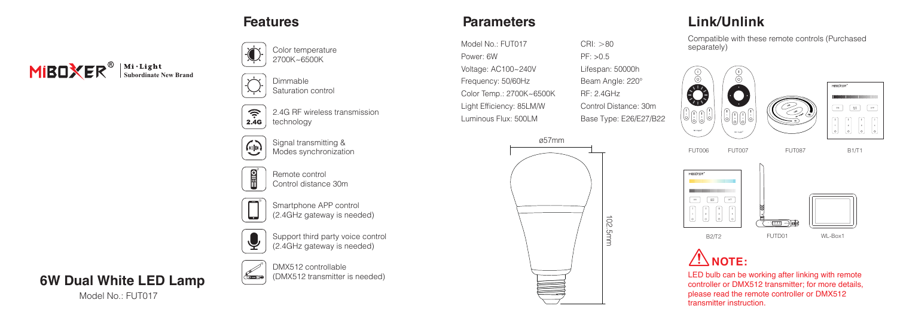

Dimmable Saturation control



Signal transmitting & Modes synchronization

Remote control Control distance 30m



**CEREDOR** 

 $\overline{\mathbb{Q}}$ 

 $\mathbf{g}$ 

Smartphone APP control (2.4GHz gateway is needed)

Support third party voice control (2.4GHz gateway is needed)



**MIBOXER**<sup><sup>®</sup> Subordinate New Brand</sup>

Model No.: FUT017



(DMX512 transmitter is needed)

## **Features Parameters**

Model No.: FUT017 Power: 6W Voltage: AC100~240V Frequency: 50/60Hz Color Temp.: 2700K~6500K Light Efficiency: 85LM/W Luminous Flux: 500LM



 $CRI:  $>80$$ PF: >0.5 Lifespan: 50000h Beam Angle: 220° RF: 2.4GHz Control Distance: 30m

## **Link/Unlink**

Compatible with these remote controls (Purchased separately)







**NOTE:**

LED bulb can be working after linking with remote controller or DMX512 transmitter; for more details, please read the remote controller or DMX512 transmitter instruction.